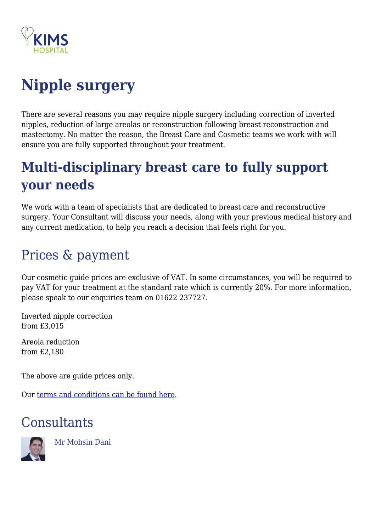

# **Nipple surgery**

There are several reasons you may require nipple surgery including correction of inverted nipples, reduction of large areolas or reconstruction following breast reconstruction and mastectomy. No matter the reason, the Breast Care and Cosmetic teams we work with will ensure you are fully supported throughout your treatment.

# **Multi-disciplinary breast care to fully support your needs**

We work with a team of specialists that are dedicated to breast care and reconstructive surgery. Your Consultant will discuss your needs, along with your previous medical history and any current medication, to help you reach a decision that feels right for you.

## Prices & payment

Our cosmetic guide prices are exclusive of VAT. In some circumstances, you will be required to pay VAT for your treatment at the standard rate which is currently 20%. For more information, please speak to our enquiries team on 01622 237727.

Inverted nipple correction from £3,015

Areola reduction from £2,180

The above are guide prices only.

Our [terms and conditions can be found here.](https://kims.org.uk/terms-conditions/)

### **Consultants**



Mr Mohsin Dani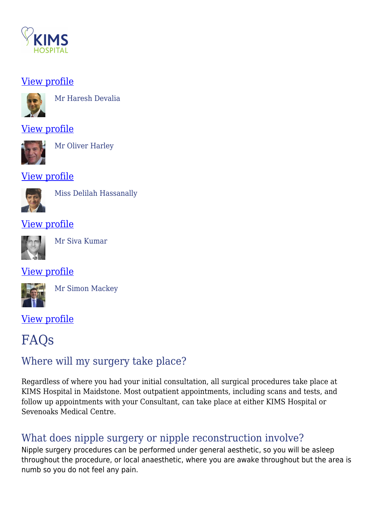

#### [View profile](https://kims.org.uk/consultant/mr-mohsin-dani/)



Mr Haresh Devalia

#### [View profile](https://kims.org.uk/consultant/mr-haresh-devalia/)



Mr Oliver Harley

#### [View profile](https://kims.org.uk/consultant/mr-oliver-harley/)



Miss Delilah Hassanally

#### [View profile](https://kims.org.uk/consultant/miss-delilah-hassanally/)



Mr Siva Kumar

#### [View profile](https://kims.org.uk/consultant/mr-siva-kumar/)



Mr Simon Mackey

#### [View profile](https://kims.org.uk/consultant/mr-simon-mackey/)

### FAQs

### Where will my surgery take place?

Regardless of where you had your initial consultation, all surgical procedures take place at KIMS Hospital in Maidstone. Most outpatient appointments, including scans and tests, and follow up appointments with your Consultant, can take place at either KIMS Hospital or Sevenoaks Medical Centre.

### What does nipple surgery or nipple reconstruction involve?

Nipple surgery procedures can be performed under general aesthetic, so you will be asleep throughout the procedure, or local anaesthetic, where you are awake throughout but the area is numb so you do not feel any pain.